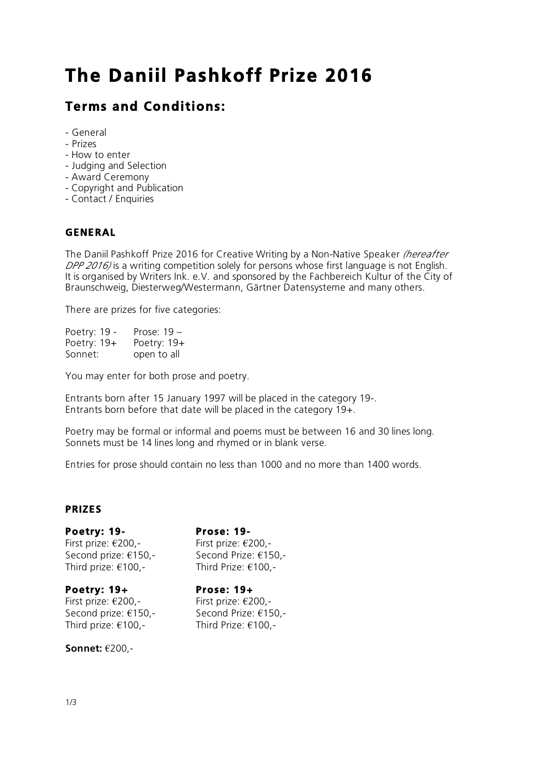# **The Daniil Pashkoff Prize 2016**

## **Terms and Conditions:**

- General
- Prizes
- How to enter
- Judging and Selection
- Award Ceremony
- Copyright and Publication
- Contact / Enquiries

#### **GENERAL**

The Daniil Pashkoff Prize 2016 for Creative Writing by a Non-Native Speaker *(hereafter DPP 2016)* is a writing competition solely for persons whose first language is not English. It is organised by Writers Ink. e.V. and sponsored by the Fachbereich Kultur of the City of Braunschweig, Diesterweg/Westermann, Gärtner Datensysteme and many others.

There are prizes for five categories:

| Poetry: 19 -  | Prose: 19 - |
|---------------|-------------|
| Poetry: $19+$ | Poetry: 19+ |
| Sonnet:       | open to all |

You may enter for both prose and poetry.

Entrants born after 15 January 1997 will be placed in the category 19-. Entrants born before that date will be placed in the category 19+.

Poetry may be formal or informal and poems must be between 16 and 30 lines long. Sonnets must be 14 lines long and rhymed or in blank verse.

Entries for prose should contain no less than 1000 and no more than 1400 words.

#### **PRIZES**

#### **Poetry: 19- Prose: 19-**

First prize: €200,- First prize: €200,- Second prize: €150,-<br>Second Prize: €150,-Third prize: €100,- Third Prize: €100,-

#### **Poetry: 19+ Prose: 19+**

First prize: €200,- First prize: €200,- Second prize: €150,- Second Prize: €150,- Third prize: €100,- Third Prize: €100,-

**Sonnet:** €200,-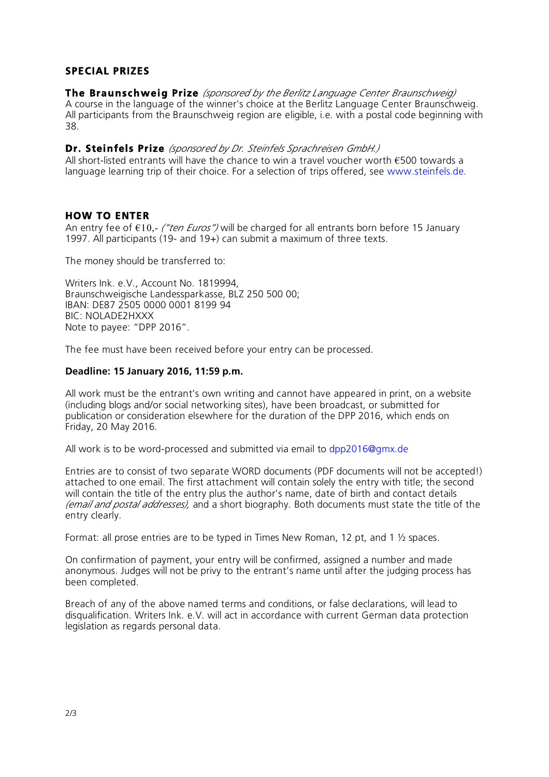### **SPECIAL PRIZES**

**The Braunschweig Prize** *(sponsored by the Berlitz Language Center Braunschweig)* A course in the language of the winner's choice at the Berlitz Language Center Braunschweig. All participants from the Braunschweig region are eligible, i.e. with a postal code beginning with 38.

**Dr. Steinfels Prize** *(sponsored by Dr. Steinfels Sprachreisen GmbH.)*

All short-listed entrants will have the chance to win a travel voucher worth  $\epsilon$ 500 towards a language learning trip of their choice. For a selection of trips offered, see www.steinfels.de.

#### **HOW TO ENTER**

An entry fee of €10,- *("ten Euros")* will be charged for all entrants born before 15 January 1997. All participants (19- and 19+) can submit a maximum of three texts.

The money should be transferred to:

Writers Ink. e.V., Account No. 1819994, Braunschweigische Landessparkasse, BLZ 250 500 00; IBAN: DE87 2505 0000 0001 8199 94 BIC: NOLADE2HXXX Note to payee: "DPP 2016".

The fee must have been received before your entry can be processed.

#### **Deadline: 15 January 2016, 11:59 p.m.**

All work must be the entrant's own writing and cannot have appeared in print, on a website (including blogs and/or social networking sites), have been broadcast, or submitted for publication or consideration elsewhere for the duration of the DPP 2016, which ends on Friday, 20 May 2016.

All work is to be word-processed and submitted via email to dpp2016@gmx.de

Entries are to consist of two separate WORD documents (PDF documents will not be accepted!) attached to one email. The first attachment will contain solely the entry with title; the second will contain the title of the entry plus the author's name, date of birth and contact details *(email and postal addresses),* and a short biography. Both documents must state the title of the entry clearly.

Format: all prose entries are to be typed in Times New Roman, 12 pt, and 1 ½ spaces.

On confirmation of payment, your entry will be confirmed, assigned a number and made anonymous. Judges will not be privy to the entrant's name until after the judging process has been completed.

Breach of any of the above named terms and conditions, or false declarations, will lead to disqualification. Writers Ink. e.V. will act in accordance with current German data protection legislation as regards personal data.